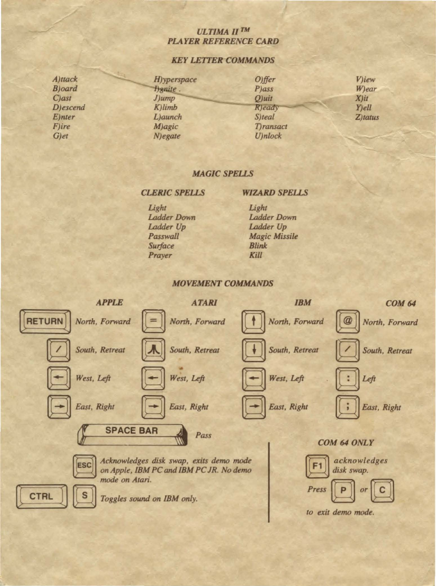# **ULTIMA II TM PLAYER REFERENCE CARD**

# **KEY LETTER COMMANDS**

| A)ttack          | H) yperspace | $O$ ) ffer        | V)iew      |  |  |
|------------------|--------------|-------------------|------------|--|--|
| <b>B</b> )oard   | Hanite.      | <b>P</b> )ass     | W)ear      |  |  |
| $C$ ) ast        | $J$ ) $ump$  | $O$ )uit          | $X)$ it    |  |  |
| <b>D</b> )escend | $K$ limb     | Y)ell<br>R)eady   |            |  |  |
| <b>E</b> )nter   | L)aunch      | S)teal            | $Z$ )tatus |  |  |
| <b>F</b> )ire    | M)agic       | <b>T</b> )ransact |            |  |  |
| G)et             | $N)$ egate   | U)nlock           |            |  |  |

# **MAGIC SPELLS**

**CLERIC SPELLS** 

### **WIZARD SPELLS**

Light **Ladder Down** Ladder Up Passwall **Surface** Prayer

Light **Ladder Down** Ladder Up **Magic Missile Blink** Kill

#### **MOVEMENT COMMANDS**